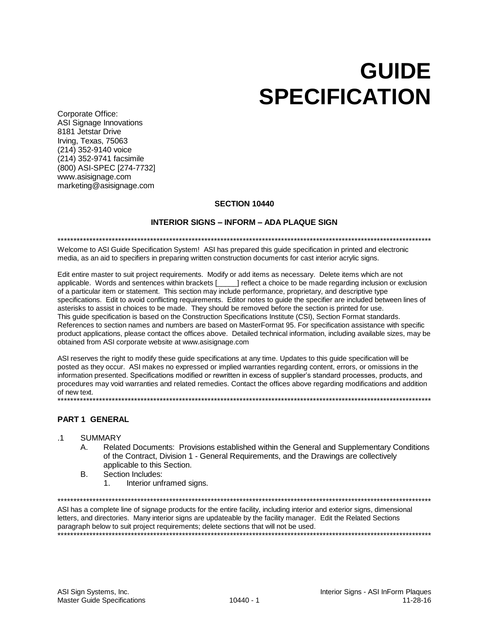# GUIDE SPECIFICATION

Corporate Office: ASI Signage Innovations 8181 Jetstar Drive Irving, Texas, 75063 (214) 352-9140 voice (214) 352-9741 facsimile (800) ASI-SPEC [274-7732] www.asisignage.com marketing@asisignage.com

# SECTION 10440

# INTERIOR SIGNS – INFORM – ADA PLAQUE SIGN

# \*\*\*\*\*\*\*\*\*\*\*\*\*\*\*\*\*\*\*\*\*\*\*\*\*\*\*\*\*\*\*\*\*\*\*\*\*\*\*\*\*\*\*\*\*\*\*\*\*\*\*\*\*\*\*\*\*\*\*\*\*\*\*\*\*\*\*\*\*\*\*\*\*\*\*\*\*\*\*\*\*\*\*\*\*\*\*\*\*\*\*\*\*\*\*\*\*\*\*\*\*\*\*\*\*\*\*\*\*\*\*\*\*\*\*\*\*

Welcome to ASI Guide Specification System! ASI has prepared this guide specification in printed and electronic media, as an aid to specifiers in preparing written construction documents for cast interior acrylic signs.

Edit entire master to suit project requirements. Modify or add items as necessary. Delete items which are not applicable. Words and sentences within brackets [\_\_\_\_\_] reflect a choice to be made regarding inclusion or exclusion of a particular item or statement. This section may include performance, proprietary, and descriptive type specifications. Edit to avoid conflicting requirements. Editor notes to guide the specifier are included between lines of asterisks to assist in choices to be made. They should be removed before the section is printed for use. This guide specification is based on the Construction Specifications Institute (CSI), Section Format standards. References to section names and numbers are based on MasterFormat 95. For specification assistance with specific product applications, please contact the offices above. Detailed technical information, including available sizes, may be obtained from ASI corporate website at www.asisignage.com

ASI reserves the right to modify these guide specifications at any time. Updates to this guide specification will be posted as they occur. ASI makes no expressed or implied warranties regarding content, errors, or omissions in the information presented. Specifications modified or rewritten in excess of supplier's standard processes, products, and procedures may void warranties and related remedies. Contact the offices above regarding modifications and addition of new text. \*\*\*\*\*\*\*\*\*\*\*\*\*\*\*\*\*\*\*\*\*\*\*\*\*\*\*\*\*\*\*\*\*\*\*\*\*\*\*\*\*\*\*\*\*\*\*\*\*\*\*\*\*\*\*\*\*\*\*\*\*\*\*\*\*\*\*\*\*\*\*\*\*\*\*\*\*\*\*\*\*\*\*\*\*\*\*\*\*\*\*\*\*\*\*\*\*\*\*\*\*\*\*\*\*\*\*\*\*\*\*\*\*\*\*\*\*

## PART 1 GENERAL

### .1 SUMMARY

- A. Related Documents: Provisions established within the General and Supplementary Conditions of the Contract, Division 1 - General Requirements, and the Drawings are collectively applicable to this Section.
- B. Section Includes:
	- 1. Interior unframed signs.

\*\*\*\*\*\*\*\*\*\*\*\*\*\*\*\*\*\*\*\*\*\*\*\*\*\*\*\*\*\*\*\*\*\*\*\*\*\*\*\*\*\*\*\*\*\*\*\*\*\*\*\*\*\*\*\*\*\*\*\*\*\*\*\*\*\*\*\*\*\*\*\*\*\*\*\*\*\*\*\*\*\*\*\*\*\*\*\*\*\*\*\*\*\*\*\*\*\*\*\*\*\*\*\*\*\*\*\*\*\*\*\*\*\*\*\*\*

ASI has a complete line of signage products for the entire facility, including interior and exterior signs, dimensional letters, and directories. Many interior signs are updateable by the facility manager. Edit the Related Sections paragraph below to suit project requirements; delete sections that will not be used. \*\*\*\*\*\*\*\*\*\*\*\*\*\*\*\*\*\*\*\*\*\*\*\*\*\*\*\*\*\*\*\*\*\*\*\*\*\*\*\*\*\*\*\*\*\*\*\*\*\*\*\*\*\*\*\*\*\*\*\*\*\*\*\*\*\*\*\*\*\*\*\*\*\*\*\*\*\*\*\*\*\*\*\*\*\*\*\*\*\*\*\*\*\*\*\*\*\*\*\*\*\*\*\*\*\*\*\*\*\*\*\*\*\*\*\*\*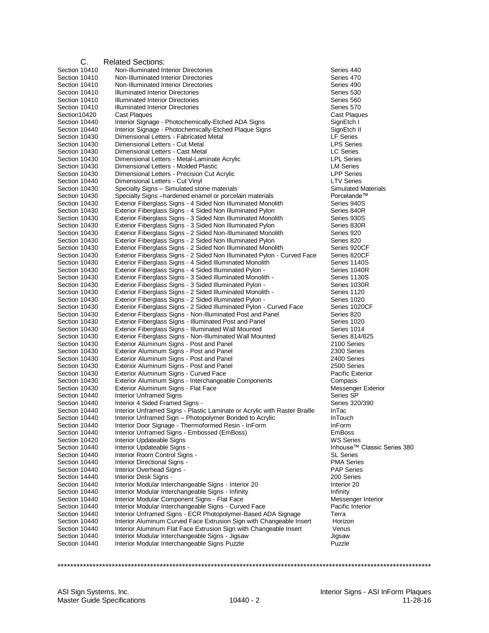| C.                             | <b>Related Sections:</b>                                                                                                                 |                                 |
|--------------------------------|------------------------------------------------------------------------------------------------------------------------------------------|---------------------------------|
| Section 10410                  | Non-Illuminated Interior Directories                                                                                                     | Series 440                      |
| Section 10410                  | Non-Illuminated Interior Directories                                                                                                     | Series 470                      |
| Section 10410                  | Non-Illuminated Interior Directories                                                                                                     | Series 490                      |
| Section 10410                  | <b>Illuminated Interior Directories</b>                                                                                                  | Series 530                      |
| Section 10410                  | <b>Illuminated Interior Directories</b>                                                                                                  | Series 560                      |
| Section 10410                  | <b>Illuminated Interior Directories</b>                                                                                                  | Series 570                      |
| Section10420                   | Cast Plaques                                                                                                                             | Cast Plaques                    |
| Section 10440<br>Section 10440 | Interior Signage - Photochemically-Etched ADA Signs<br>Interior Signage - Photochemically-Etched Plaque Signs                            | SignEtch I<br>SignEtch II       |
| Section 10430                  | Dimensional Letters - Fabricated Metal                                                                                                   | <b>LF Series</b>                |
| Section 10430                  | Dimensional Letters - Cut Metal                                                                                                          | <b>LPS Series</b>               |
| Section 10430                  | Dimensional Letters - Cast Metal                                                                                                         | <b>LC Series</b>                |
| Section 10430                  | Dimensional Letters - Metal-Laminate Acrylic                                                                                             | <b>LPL Series</b>               |
| Section 10430                  | Dimensional Letters - Molded Plastic                                                                                                     | <b>LM Series</b>                |
| Section 10430                  | Dimensional Letters - Precision Cut Acrylic                                                                                              | <b>LPP Series</b>               |
| Section 10440                  | Dimensional Letters - Cut Vinyl                                                                                                          | <b>LTV Series</b>               |
| Section 10430                  | Specialty Signs - Simulated stone materials                                                                                              | Simulated Mate                  |
| Section 10430                  | Specialty Signs –hardened enamel or porcelain materials                                                                                  | Porcelande™                     |
| Section 10430                  | Exterior Fiberglass Signs - 4 Sided Non Illuminated Monolith                                                                             | Series 940S                     |
| Section 10430                  | Exterior Fiberglass Signs - 4 Sided Non Illuminated Pylon                                                                                | Series 840R                     |
| Section 10430                  | Exterior Fiberglass Signs - 3 Sided Non Illuminated Monolith                                                                             | Series 930S                     |
| Section 10430<br>Section 10430 | Exterior Fiberglass Signs - 3 Sided Non Illuminated Pylon<br>Exterior Fiberglass Signs - 2 Sided Non-Illuminated Monolith                | Series 830R<br>Series 920       |
| Section 10430                  | Exterior Fiberglass Signs - 2 Sided Non Illuminated Pylon                                                                                | Series 820                      |
| Section 10430                  | Exterior Fiberglass Signs - 2 Sided Non Illuminated Monolith                                                                             | Series 920CF                    |
| Section 10430                  | Exterior Fiberglass Signs - 2 Sided Non Illuminated Pylon - Curved Face                                                                  | Series 820CF                    |
| Section 10430                  | Exterior Fiberglass Signs - 4 Sided Illuminated Monolith                                                                                 | Series 1140S                    |
| Section 10430                  | Exterior Fiberglass Signs - 4 Sided Illuminated Pylon -                                                                                  | Series 1040R                    |
| Section 10430                  | Exterior Fiberglass Signs - 3 Sided Illuminated Monolith -                                                                               | Series 1130S                    |
| Section 10430                  | Exterior Fiberglass Signs - 3 Sided Illuminated Pylon -                                                                                  | Series 1030R                    |
| Section 10430                  | Exterior Fiberglass Signs - 2 Sided Illuminated Monolith -                                                                               | Series 1120                     |
| Section 10430                  | Exterior Fiberglass Signs - 2 Sided Illuminated Pylon -                                                                                  | Series 1020                     |
| Section 10430                  | Exterior Fiberglass Signs - 2 Sided Illuminated Pylon - Curved Face                                                                      | Series 1020CF                   |
| Section 10430                  | Exterior Fiberglass Signs - Non-Illuminated Post and Panel                                                                               | Series 820                      |
| Section 10430                  | Exterior Fiberglass Signs - Illuminated Post and Panel                                                                                   | Series 1020                     |
| Section 10430<br>Section 10430 | Exterior Fiberglass Signs - Illuminated Wall Mounted<br>Exterior Fiberglass Signs - Non-Illuminated Wall Mounted                         | Series 1014<br>Series 814/825   |
| Section 10430                  | Exterior Aluminum Signs - Post and Panel                                                                                                 | 2100 Series                     |
| Section 10430                  | Exterior Aluminum Signs - Post and Panel                                                                                                 | 2300 Series                     |
| Section 10430                  | Exterior Aluminum Signs - Post and Panel                                                                                                 | 2400 Series                     |
| Section 10430                  | Exterior Aluminum Signs - Post and Panel                                                                                                 | 2500 Series                     |
| Section 10430                  | Exterior Aluminum Signs - Curved Face                                                                                                    | <b>Pacific Exterior</b>         |
| Section 10430                  | Exterior Aluminum Signs - Interchangeable Components                                                                                     | Compass                         |
| Section 10430                  | Exterior Aluminum Signs - Flat Face                                                                                                      | Messenger Exte                  |
| Section 10440                  | <b>Interior Unframed Signs</b>                                                                                                           | Series SP                       |
| Section 10440                  | Interior 4 Sided Framed Signs -                                                                                                          | Series 320/390                  |
| Section 10440                  | Interior Unframed Signs - Plastic Laminate or Acrylic with Raster Braille                                                                | InTac                           |
| Section 10440<br>Section 10440 | Interior Unframed Sign - Photopolymer Bonded to Acrylic                                                                                  | <b>InTouch</b><br><b>InForm</b> |
| Section 10440                  | Interior Door Signage - Thermoformed Resin - InForm<br>Interior Unframed Signs - Embossed (EmBoss)                                       | <b>EmBoss</b>                   |
| Section 10420                  | Interior Updateable Signs                                                                                                                | <b>WS Series</b>                |
| Section 10440                  | Interior Updateable Signs -                                                                                                              | Inhouse <sup>™</sup> Clas       |
| Section 10440                  | Interior Room Control Signs -                                                                                                            | <b>SL Series</b>                |
| Section 10440                  | Interior Directional Signs -                                                                                                             | <b>PMA Series</b>               |
| Section 10440                  | Interior Overhead Signs -                                                                                                                | <b>PAP Series</b>               |
| Section 14440                  | Interior Desk Signs -                                                                                                                    | 200 Series                      |
| Section 10440                  | Interior Modular Interchangeable Signs - Interior 20                                                                                     | Interior 20                     |
| Section 10440                  | Interior Modular Interchangeable Signs - Infinity                                                                                        | Infinity                        |
| Section 10440                  | Interior Modular Component Signs - Flat Face                                                                                             | Messenger Inte                  |
| Section 10440                  | Interior Modular Interchangeable Signs - Curved Face                                                                                     | Pacific Interior                |
| Section 10440                  | Interior Unframed Signs - ECR Photopolymer-Based ADA Signage                                                                             | Terra                           |
| Section 10440<br>Section 10440 | Interior Aluminum Curved Face Extrusion Sign with Changeable Insert<br>Interior Aluminum Flat Face Extrusion Sign with Changeable Insert | Horizon<br>Venus                |
| Section 10440                  | Interior Modular Interchangeable Signs - Jigsaw                                                                                          | Jigsaw                          |
| Section 10440                  | Interior Modular Interchangeable Signs Puzzle                                                                                            | Puzzle                          |
|                                |                                                                                                                                          |                                 |

llated Materials<br>elande™ , Tector<br>senger Exterior<br>es SP Jse™ Classic Series 380<br>eries senger Interior<br>ic Interior

\*\*\*\*\*\*\*\*\*\*\*\*\*\*\*\*\*\*\*\*\*\*\*\*\*\*\*\*\*\*\*\*\*\*\*\*\*\*\*\*\*\*\*\*\*\*\*\*\*\*\*\*\*\*\*\*\*\*\*\*\*\*\*\*\*\*\*\*\*\*\*\*\*\*\*\*\*\*\*\*\*\*\*\*\*\*\*\*\*\*\*\*\*\*\*\*\*\*\*\*\*\*\*\*\*\*\*\*\*\*\*\*\*\*\*\*\*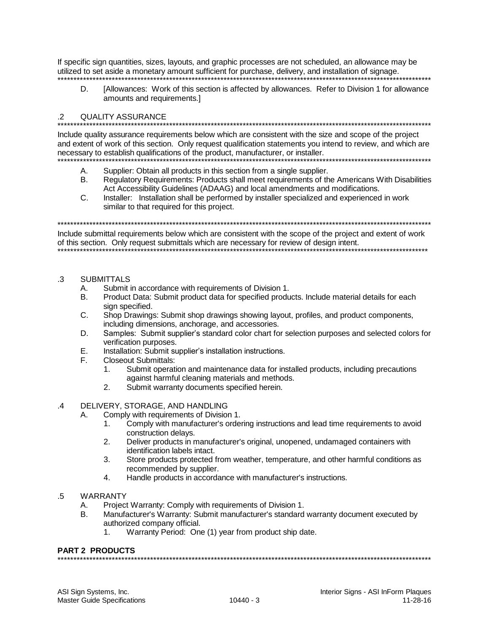If specific sign quantities, sizes, layouts, and graphic processes are not scheduled, an allowance may be utilized to set aside a monetary amount sufficient for purchase, delivery, and installation of signage.

[Allowances: Work of this section is affected by allowances. Refer to Division 1 for allowance D. amounts and requirements.

#### $\mathcal{P}$ **OUALITY ASSURANCE**

Include quality assurance requirements below which are consistent with the size and scope of the project and extent of work of this section. Only request qualification statements you intend to review, and which are necessary to establish qualifications of the product, manufacturer, or installer.

- A. Supplier: Obtain all products in this section from a single supplier.
- $B<sub>1</sub>$ Regulatory Requirements: Products shall meet requirements of the Americans With Disabilities Act Accessibility Guidelines (ADAAG) and local amendments and modifications.
- $C_{1}$ Installer: Installation shall be performed by installer specialized and experienced in work similar to that required for this project.

Include submittal requirements below which are consistent with the scope of the project and extent of work of this section. Only request submittals which are necessary for review of design intent.

#### $\mathcal{R}$ SUBMITTALS

- Submit in accordance with requirements of Division 1.  $\mathsf{A}$
- Product Data: Submit product data for specified products. Include material details for each **B.** sign specified.
- $\mathsf{C}$ Shop Drawings: Submit shop drawings showing layout, profiles, and product components, including dimensions, anchorage, and accessories.
- Samples: Submit supplier's standard color chart for selection purposes and selected colors for D. verification purposes.
- Installation: Submit supplier's installation instructions. Ε.
- F. **Closeout Submittals:** 
	- Submit operation and maintenance data for installed products, including precautions 1. against harmful cleaning materials and methods.
	- $2.$ Submit warranty documents specified herein.

#### DELIVERY, STORAGE, AND HANDLING  $\overline{4}$

- Comply with requirements of Division 1. А.
	- Comply with manufacturer's ordering instructions and lead time requirements to avoid  $1<sub>1</sub>$ construction delays.
	- $2.$ Deliver products in manufacturer's original, unopened, undamaged containers with identification labels intact.
	- 3. Store products protected from weather, temperature, and other harmful conditions as recommended by supplier.
	- $\overline{4}$ . Handle products in accordance with manufacturer's instructions.

#### **WARRANTY**  $.5\,$

- Project Warranty: Comply with requirements of Division 1. Α.
- Manufacturer's Warranty: Submit manufacturer's standard warranty document executed by В. authorized company official.
	- Warranty Period: One (1) year from product ship date.  $1.$

# PART 2 PRODUCTS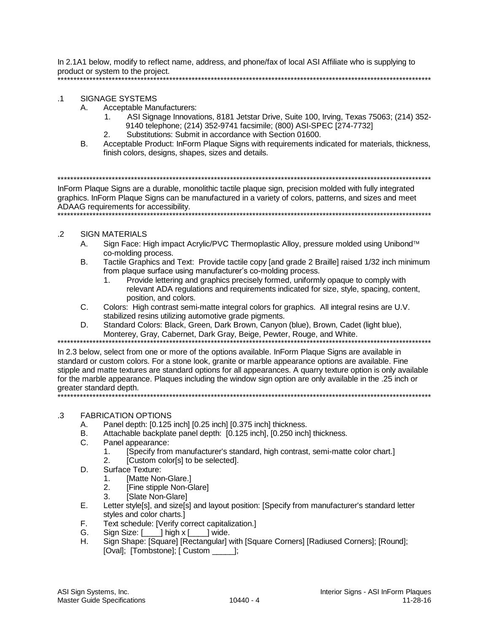In 2.1A1 below, modify to reflect name, address, and phone/fax of local ASI Affiliate who is supplying to product or system to the project. \*\*\*\*\*\*\*\*\*\*\*\*\*\*\*\*\*\*\*\*\*\*\*\*\*\*\*\*\*\*\*\*\*\*\*\*\*\*\*\*\*\*\*\*\*\*\*\*\*\*\*\*\*\*\*\*\*\*\*\*\*\*\*\*\*\*\*\*\*\*\*\*\*\*\*\*\*\*\*\*\*\*\*\*\*\*\*\*\*\*\*\*\*\*\*\*\*\*\*\*\*\*\*\*\*\*\*\*\*\*\*\*\*\*\*\*\*

# .1 SIGNAGE SYSTEMS

- A. Acceptable Manufacturers:
	- 1. ASI Signage Innovations, 8181 Jetstar Drive, Suite 100, Irving, Texas 75063; (214) 352- 9140 telephone; (214) 352-9741 facsimile; (800) ASI-SPEC [274-7732]
	- 2. Substitutions: Submit in accordance with Section 01600.
- B. Acceptable Product: InForm Plaque Signs with requirements indicated for materials, thickness, finish colors, designs, shapes, sizes and details.

\*\*\*\*\*\*\*\*\*\*\*\*\*\*\*\*\*\*\*\*\*\*\*\*\*\*\*\*\*\*\*\*\*\*\*\*\*\*\*\*\*\*\*\*\*\*\*\*\*\*\*\*\*\*\*\*\*\*\*\*\*\*\*\*\*\*\*\*\*\*\*\*\*\*\*\*\*\*\*\*\*\*\*\*\*\*\*\*\*\*\*\*\*\*\*\*\*\*\*\*\*\*\*\*\*\*\*\*\*\*\*\*\*\*\*\*\*

InForm Plaque Signs are a durable, monolithic tactile plaque sign, precision molded with fully integrated graphics. InForm Plaque Signs can be manufactured in a variety of colors, patterns, and sizes and meet ADAAG requirements for accessibility. \*\*\*\*\*\*\*\*\*\*\*\*\*\*\*\*\*\*\*\*\*\*\*\*\*\*\*\*\*\*\*\*\*\*\*\*\*\*\*\*\*\*\*\*\*\*\*\*\*\*\*\*\*\*\*\*\*\*\*\*\*\*\*\*\*\*\*\*\*\*\*\*\*\*\*\*\*\*\*\*\*\*\*\*\*\*\*\*\*\*\*\*\*\*\*\*\*\*\*\*\*\*\*\*\*\*\*\*\*\*\*\*\*\*\*\*\*

# .2 SIGN MATERIALS

- A. Sign Face: High impact Acrylic/PVC Thermoplastic Alloy, pressure molded using Unibond<sup>™</sup> co-molding process.
- B. Tactile Graphics and Text: Provide tactile copy [and grade 2 Braille] raised 1/32 inch minimum from plaque surface using manufacturer's co-molding process.
	- 1. Provide lettering and graphics precisely formed, uniformly opaque to comply with relevant ADA regulations and requirements indicated for size, style, spacing, content, position, and colors.
- C. Colors: High contrast semi-matte integral colors for graphics. All integral resins are U.V. stabilized resins utilizing automotive grade pigments.
- D. Standard Colors: Black, Green, Dark Brown, Canyon (blue), Brown, Cadet (light blue), Monterey, Gray, Cabernet, Dark Gray, Beige, Pewter, Rouge, and White.

\*\*\*\*\*\*\*\*\*\*\*\*\*\*\*\*\*\*\*\*\*\*\*\*\*\*\*\*\*\*\*\*\*\*\*\*\*\*\*\*\*\*\*\*\*\*\*\*\*\*\*\*\*\*\*\*\*\*\*\*\*\*\*\*\*\*\*\*\*\*\*\*\*\*\*\*\*\*\*\*\*\*\*\*\*\*\*\*\*\*\*\*\*\*\*\*\*\*\*\*\*\*\*\*\*\*\*\*\*\*\*\*\*\*\*\*\* In 2.3 below, select from one or more of the options available. InForm Plaque Signs are available in standard or custom colors. For a stone look, granite or marble appearance options are available. Fine stipple and matte textures are standard options for all appearances. A quarry texture option is only available for the marble appearance. Plaques including the window sign option are only available in the .25 inch or greater standard depth. \*\*\*\*\*\*\*\*\*\*\*\*\*\*\*\*\*\*\*\*\*\*\*\*\*\*\*\*\*\*\*\*\*\*\*\*\*\*\*\*\*\*\*\*\*\*\*\*\*\*\*\*\*\*\*\*\*\*\*\*\*\*\*\*\*\*\*\*\*\*\*\*\*\*\*\*\*\*\*\*\*\*\*\*\*\*\*\*\*\*\*\*\*\*\*\*\*\*\*\*\*\*\*\*\*\*\*\*\*\*\*\*\*\*\*\*\*

# .3 FABRICATION OPTIONS

- A. Panel depth: [0.125 inch] [0.25 inch] [0.375 inch] thickness.
- B. Attachable backplate panel depth: [0.125 inch], [0.250 inch] thickness.
- C. Panel appearance:
	- 1. [Specify from manufacturer's standard, high contrast, semi-matte color chart.]
	- 2. [Custom color[s] to be selected].
- D. Surface Texture:
	- 1. [Matte Non-Glare.]
	- 2. [Fine stipple Non-Glare]
	- 3. [Slate Non-Glare]
- E. Letter style[s], and size[s] and layout position: [Specify from manufacturer's standard letter styles and color charts.]
- F. Text schedule: [Verify correct capitalization.]
- G. Sign Size: [\_\_\_\_] high x [\_\_\_\_] wide.
- H. Sign Shape: [Square] [Rectangular] with [Square Corners] [Radiused Corners]; [Round]; [Oval]; [Tombstone]; [ Custom \_\_\_\_\_];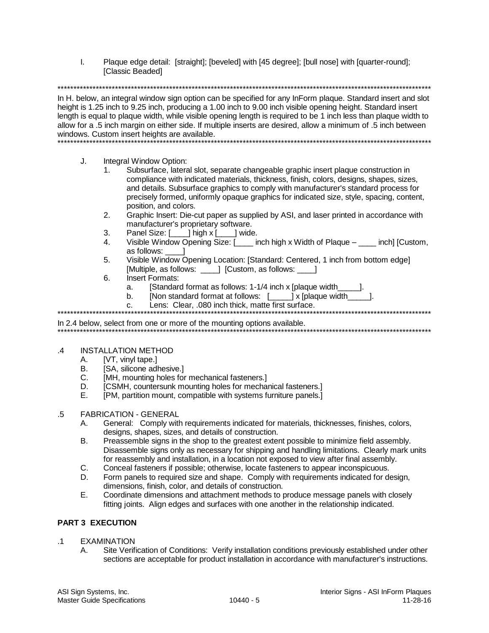$\mathbf{L}$ Plaque edge detail: [straight]; [beveled] with [45 degree]; [bull nose] with [quarter-round]; [Classic Beaded]

In H. below, an integral window sign option can be specified for any InForm plague. Standard insert and slot height is 1.25 inch to 9.25 inch, producing a 1.00 inch to 9.00 inch visible opening height. Standard insert length is equal to plaque width, while visible opening length is required to be 1 inch less than plaque width to allow for a .5 inch margin on either side. If multiple inserts are desired, allow a minimum of .5 inch between windows. Custom insert heights are available. 

- $J_{\cdot}$ Integral Window Option:
	- Subsurface, lateral slot, separate changeable graphic insert plaque construction in  $\mathbf{1}$ compliance with indicated materials, thickness, finish, colors, designs, shapes, sizes, and details. Subsurface graphics to comply with manufacturer's standard process for precisely formed, uniformly opaque graphics for indicated size, style, spacing, content, position, and colors.
	- $2.$ Graphic Insert: Die-cut paper as supplied by ASI, and laser printed in accordance with manufacturer's proprietary software.
	- Panel Size: [10] high x [10] wide.  $\mathcal{E}$
	- Visible Window Opening Size: [ inch high x Width of Plaque inch] [Custom,  $\mathbf{\Delta}$ as follows:
	- Visible Window Opening Location: [Standard: Centered, 1 inch from bottom edge]  $5<sub>1</sub>$ [Multiple, as follows: 1 [Custom, as follows: 1
	- Insert Formats:  $6.$ 
		- [Standard format as follows: 1-1/4 inch x [plaque width]  $a<sub>z</sub>$
		- [Non standard format at follows: [\_\_\_\_\_\_\_] x [plaque width \_\_\_\_\_\_].  $b<sub>1</sub>$
		- Lens: Clear. .080 inch thick. matte first surface.  $C<sub>1</sub>$

In 2.4 below, select from one or more of the mounting options available.

#### $\overline{A}$ **INSTALLATION METHOD**

- А. [VT, vinyl tape.]
- B. [SA, silicone adhesive.]
- $C_{\cdot}$ [MH, mounting holes for mechanical fasteners.]
- D. [CSMH, countersunk mounting holes for mechanical fasteners.]
- $E_{\perp}$ [PM, partition mount, compatible with systems furniture panels.]
- $.5\,$ **FABRICATION - GENERAL** 
	- General: Comply with requirements indicated for materials, thicknesses, finishes, colors, А. designs, shapes, sizes, and details of construction.
	- **B.** Preassemble signs in the shop to the greatest extent possible to minimize field assembly. Disassemble signs only as necessary for shipping and handling limitations. Clearly mark units for reassembly and installation, in a location not exposed to view after final assembly.
	- $C_{1}$ Conceal fasteners if possible; otherwise, locate fasteners to appear inconspicuous.
	- Form panels to required size and shape. Comply with requirements indicated for design, D. dimensions, finish, color, and details of construction.
	- Coordinate dimensions and attachment methods to produce message panels with closely Е. fitting joints. Align edges and surfaces with one another in the relationship indicated.

# PART 3 EXECUTION

- **EXAMINATION**  $.1$ 
	- Site Verification of Conditions: Verify installation conditions previously established under other Α. sections are acceptable for product installation in accordance with manufacturer's instructions.